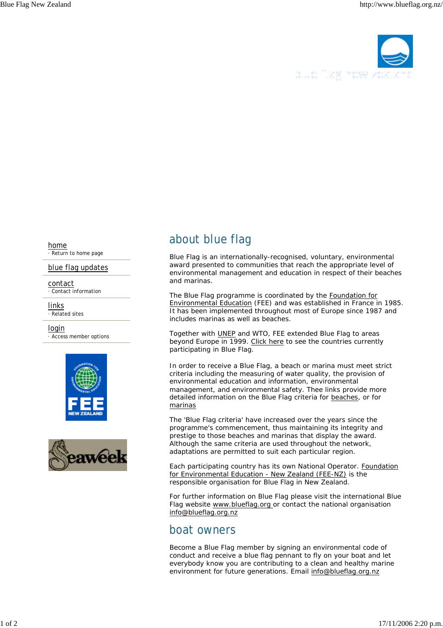

home · Return to home page

blue flag updates

contact · Contact information

links

· Related sites login

· Access member options





## about blue flag

Blue Flag is an internationally-recognised, voluntary, environmental award presented to communities that reach the appropriate level of environmental management and education in respect of their beaches and marinas.

The Blue Flag programme is coordinated by the Foundation for Environmental Education (FEE) and was established in France in 1985. It has been implemented throughout most of Europe since 1987 and includes marinas as well as beaches.

Together with UNEP and WTO, FEE extended Blue Flag to areas beyond Europe in 1999. Click here to see the countries currently participating in Blue Flag.

In order to receive a Blue Flag, a beach or marina must meet strict criteria including the measuring of water quality, the provision of environmental education and information, environmental management, and environmental safety. Thee links provide more detailed information on the Blue Flag criteria for beaches, or for marinas

The 'Blue Flag criteria' have increased over the years since the programme's commencement, thus maintaining its integrity and prestige to those beaches and marinas that display the award. Although the same criteria are used throughout the network, adaptations are permitted to suit each particular region.

Each participating country has its own National Operator. Foundation for Environmental Education - New Zealand (FEE-NZ) is the responsible organisation for Blue Flag in New Zealand.

For further information on Blue Flag please visit the international Blue Flag website www.blueflag.org or contact the national organisation info@blueflag.org.nz

## boat owners

Become a Blue Flag member by signing an environmental code of conduct and receive a blue flag pennant to fly on your boat and let everybody know you are contributing to a clean and healthy marine environment for future generations. Email info@blueflag.org.nz